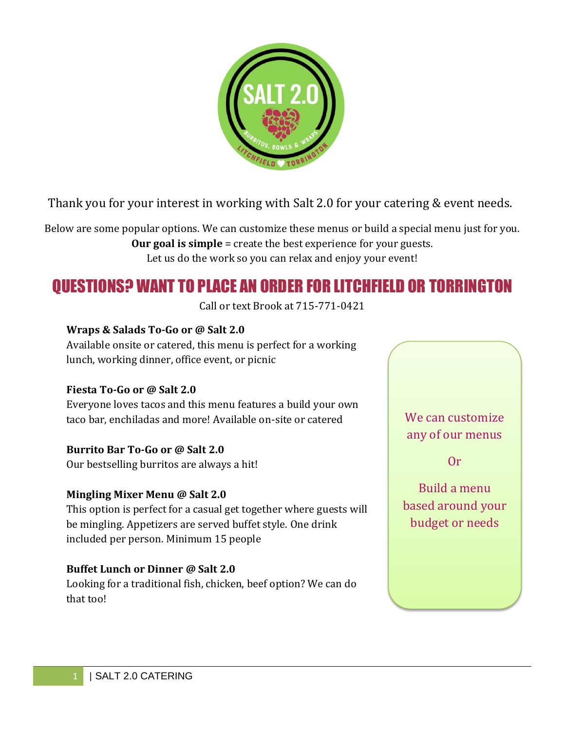

Thank you for your interest in working with Salt 2.0 for your catering & event needs.

Below are some popular options. We can customize these menus or build a special menu just for you. **Our goal is simple** = create the best experience for your guests. Let us do the work so you can relax and enjoy your event!

# QUESTIONS? WANT TO PLACE AN ORDER FOR LITCHFIELD OR TORRINGTON

Call or text Brook at 715-771-0421

#### **Wraps & Salads To-Go or @ Salt 2.0**

Available onsite or catered, this menu is perfect for a working lunch, working dinner, office event, or picnic

#### **Fiesta To-Go or @ Salt 2.0**

Everyone loves tacos and this menu features a build your own taco bar, enchiladas and more! Available on-site or catered

#### **Burrito Bar To-Go or @ Salt 2.0**

Our bestselling burritos are always a hit!

#### **Mingling Mixer Menu @ Salt 2.0**

This option is perfect for a casual get together where guests will be mingling. Appetizers are served buffet style. One drink included per person. Minimum 15 people

#### **Buffet Lunch or Dinner @ Salt 2.0**

Looking for a traditional fish, chicken, beef option? We can do that too!

# We can customize any of our menus

Or

# Build a menu based around your budget or needs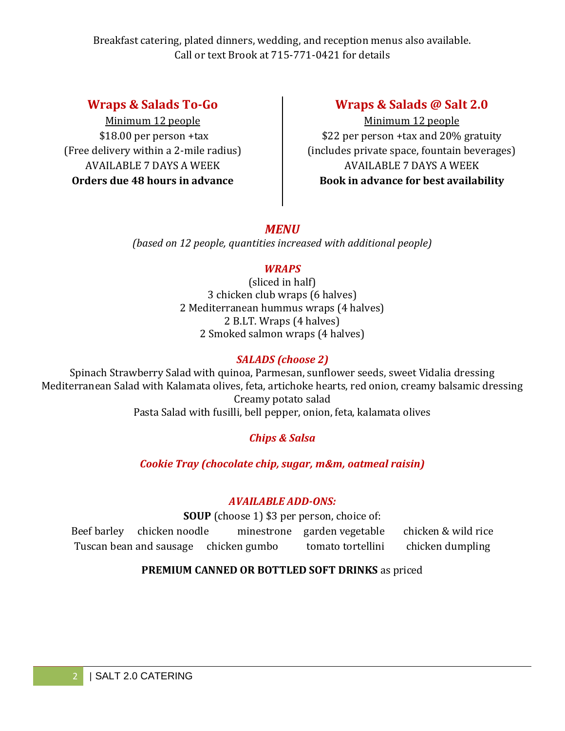### **Wraps & Salads To-Go**

Minimum 12 people \$18.00 per person +tax (Free delivery within a 2-mile radius) AVAILABLE 7 DAYS A WEEK **Orders due 48 hours in advance**

### **Wraps & Salads @ Salt 2.0**

Minimum 12 people \$22 per person +tax and 20% gratuity (includes private space, fountain beverages) AVAILABLE 7 DAYS A WEEK **Book in advance for best availability**

### *MENU*

*(based on 12 people, quantities increased with additional people)*

#### *WRAPS*

(sliced in half) 3 chicken club wraps (6 halves) 2 Mediterranean hummus wraps (4 halves) 2 B.LT. Wraps (4 halves) 2 Smoked salmon wraps (4 halves)

### *SALADS (choose 2)*

Spinach Strawberry Salad with quinoa, Parmesan, sunflower seeds, sweet Vidalia dressing Mediterranean Salad with Kalamata olives, feta, artichoke hearts, red onion, creamy balsamic dressing Creamy potato salad Pasta Salad with fusilli, bell pepper, onion, feta, kalamata olives

### *Chips & Salsa*

*Cookie Tray (chocolate chip, sugar, m&m, oatmeal raisin)*

#### *AVAILABLE ADD-ONS:*

**SOUP** (choose 1) \$3 per person, choice of:

Beef barley chicken noodle minestrone garden vegetable chicken & wild rice Tuscan bean and sausage chicken gumbo tomato tortellini chicken dumpling

### **PREMIUM CANNED OR BOTTLED SOFT DRINKS** as priced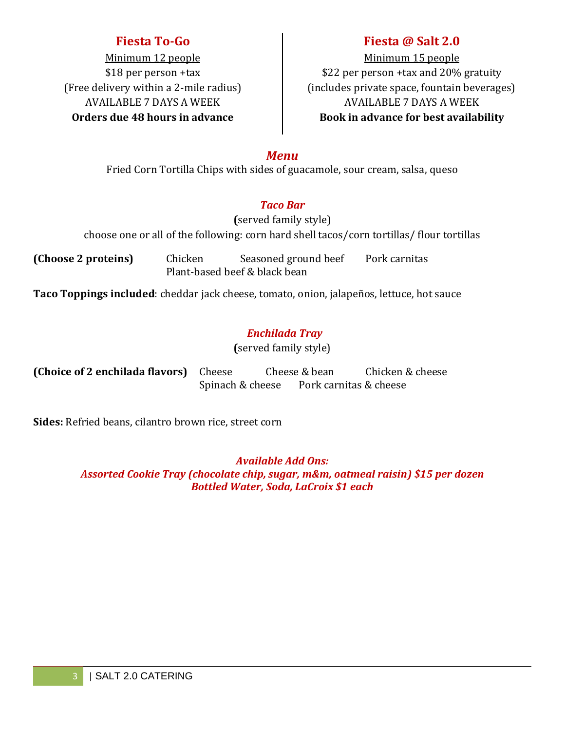### **Fiesta To-Go**

Minimum 12 people \$18 per person +tax (Free delivery within a 2-mile radius) AVAILABLE 7 DAYS A WEEK **Orders due 48 hours in advance**

## **Fiesta @ Salt 2.0**

Minimum 15 people \$22 per person +tax and 20% gratuity (includes private space, fountain beverages) AVAILABLE 7 DAYS A WEEK **Book in advance for best availability**

#### *Menu*

Fried Corn Tortilla Chips with sides of guacamole, sour cream, salsa, queso

#### *Taco Bar*

**(**served family style) choose one or all of the following: corn hard shell tacos/corn tortillas/ flour tortillas

**(Choose 2 proteins)** Chicken Seasoned ground beef Pork carnitas Plant-based beef & black bean

**Taco Toppings included**: cheddar jack cheese, tomato, onion, jalapeños, lettuce, hot sauce

### *Enchilada Tray*

**(**served family style)

| (Choice of 2 enchilada flavors) Cheese |                  | Cheese & bean          | Chicken & cheese |
|----------------------------------------|------------------|------------------------|------------------|
|                                        | Spinach & cheese | Pork carnitas & cheese |                  |

**Sides:** Refried beans, cilantro brown rice, street corn

*Available Add Ons: Assorted Cookie Tray (chocolate chip, sugar, m&m, oatmeal raisin) \$15 per dozen Bottled Water, Soda, LaCroix \$1 each*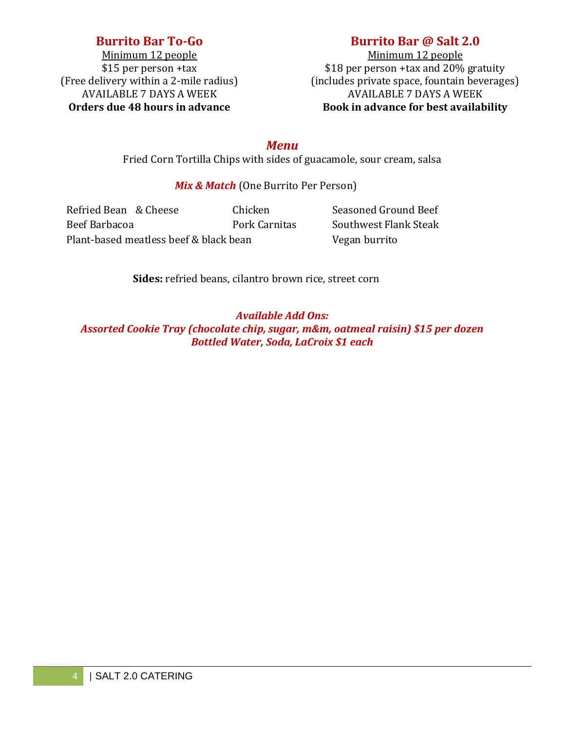### **Burrito Bar To-Go**

Minimum 12 people \$15 per person +tax (Free delivery within a 2-mile radius) AVAILABLE 7 DAYS A WEEK **Orders due 48 hours in advance**

### **Burrito Bar @ Salt 2.0**

Minimum 12 people \$18 per person +tax and 20% gratuity (includes private space, fountain beverages) AVAILABLE 7 DAYS A WEEK **Book in advance for best availability**

*Menu*

Fried Corn Tortilla Chips with sides of guacamole, sour cream, salsa

#### *Mix & Match* (One Burrito Per Person)

Refried Bean & Cheese Chicken Seasoned Ground Beef Beef Barbacoa **Pork Carnitas** Southwest Flank Steak Plant-based meatless beef & black bean Vegan burrito

**Sides:** refried beans, cilantro brown rice, street corn

#### *Available Add Ons:*

*Assorted Cookie Tray (chocolate chip, sugar, m&m, oatmeal raisin) \$15 per dozen Bottled Water, Soda, LaCroix \$1 each*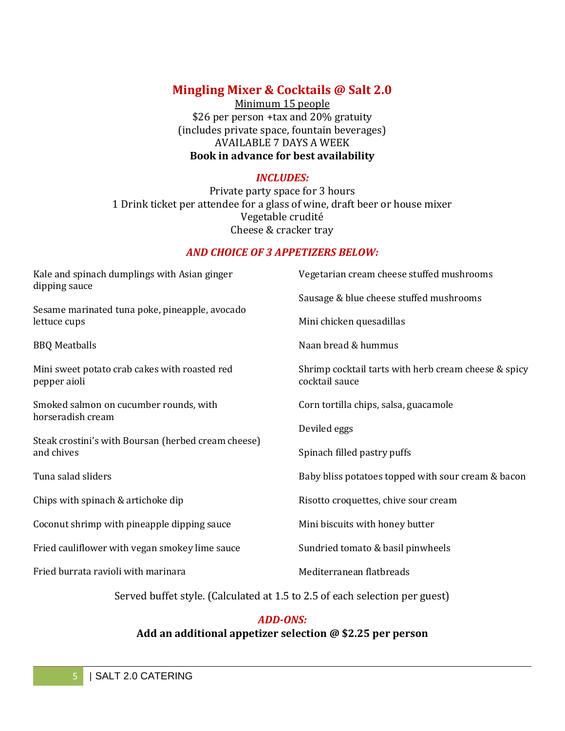### **Mingling Mixer & Cocktails @ Salt 2.0**

Minimum 15 people \$26 per person +tax and 20% gratuity (includes private space, fountain beverages) AVAILABLE 7 DAYS A WEEK **Book in advance for best availability**

#### *INCLUDES:*

Private party space for 3 hours 1 Drink ticket per attendee for a glass of wine, draft beer or house mixer Vegetable crudité Cheese & cracker tray

#### *AND CHOICE OF 3 APPETIZERS BELOW:*

| Kale and spinach dumplings with Asian ginger<br>dipping sauce     | Vegetarian cream cheese stuffed mushrooms                              |  |  |  |
|-------------------------------------------------------------------|------------------------------------------------------------------------|--|--|--|
| Sesame marinated tuna poke, pineapple, avocado                    | Sausage & blue cheese stuffed mushrooms                                |  |  |  |
| lettuce cups                                                      | Mini chicken quesadillas                                               |  |  |  |
| <b>BBQ</b> Meatballs                                              | Naan bread & hummus                                                    |  |  |  |
| Mini sweet potato crab cakes with roasted red<br>pepper aioli     | Shrimp cocktail tarts with herb cream cheese & spicy<br>cocktail sauce |  |  |  |
| Smoked salmon on cucumber rounds, with<br>horseradish cream       | Corn tortilla chips, salsa, guacamole                                  |  |  |  |
|                                                                   | Deviled eggs                                                           |  |  |  |
| Steak crostini's with Boursan (herbed cream cheese)<br>and chives | Spinach filled pastry puffs                                            |  |  |  |
| Tuna salad sliders                                                | Baby bliss potatoes topped with sour cream & bacon                     |  |  |  |
| Chips with spinach & artichoke dip                                | Risotto croquettes, chive sour cream                                   |  |  |  |
| Coconut shrimp with pineapple dipping sauce                       | Mini biscuits with honey butter                                        |  |  |  |
| Fried cauliflower with vegan smokey lime sauce                    | Sundried tomato & basil pinwheels                                      |  |  |  |
| Fried burrata ravioli with marinara                               | Mediterranean flatbreads                                               |  |  |  |

Served buffet style. (Calculated at 1.5 to 2.5 of each selection per guest)

#### *ADD-ONS:*

#### **Add an additional appetizer selection @ \$2.25 per person**